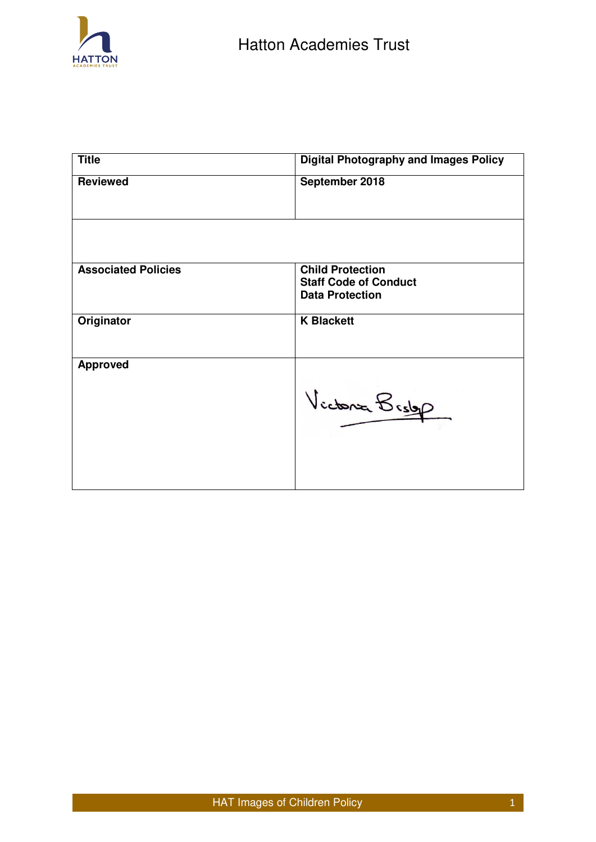

| <b>Title</b>               | <b>Digital Photography and Images Policy</b>                                      |
|----------------------------|-----------------------------------------------------------------------------------|
| <b>Reviewed</b>            | September 2018                                                                    |
|                            |                                                                                   |
| <b>Associated Policies</b> | <b>Child Protection</b><br><b>Staff Code of Conduct</b><br><b>Data Protection</b> |
| Originator                 | <b>K Blackett</b>                                                                 |
| <b>Approved</b>            | Victoria Bridge                                                                   |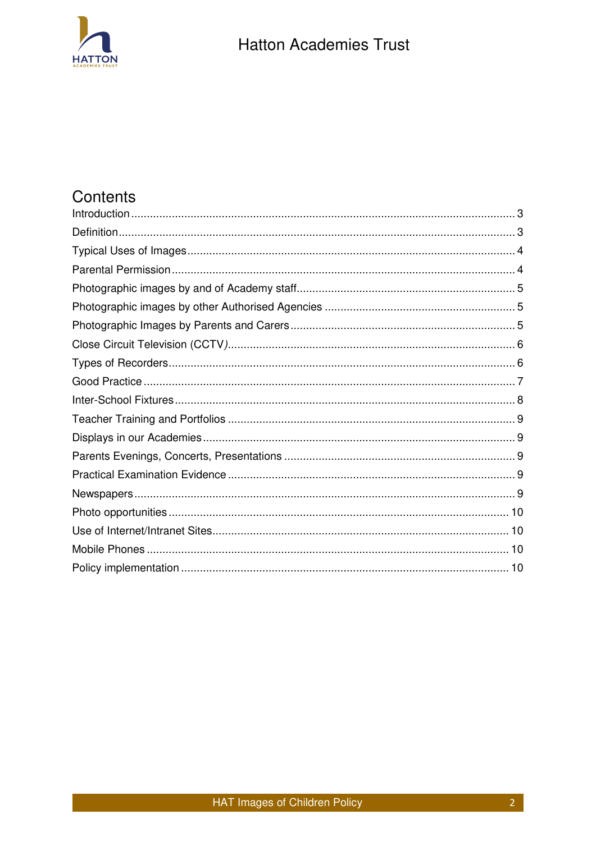

# Contents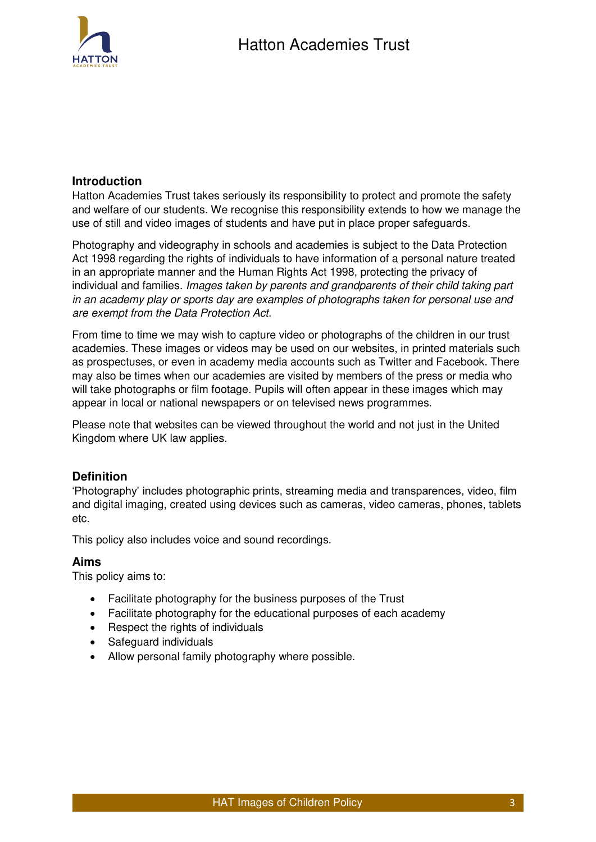

## <span id="page-2-0"></span>**Introduction**

Hatton Academies Trust takes seriously its responsibility to protect and promote the safety and welfare of our students. We recognise this responsibility extends to how we manage the use of still and video images of students and have put in place proper safeguards.

Photography and videography in schools and academies is subject to the Data Protection Act 1998 regarding the rights of individuals to have information of a personal nature treated in an appropriate manner and the Human Rights Act 1998, protecting the privacy of individual and families. *Images taken by parents and grandparents of their child taking part in an academy play or sports day are examples of photographs taken for personal use and are exempt from the Data Protection Act*.

From time to time we may wish to capture video or photographs of the children in our trust academies. These images or videos may be used on our websites, in printed materials such as prospectuses, or even in academy media accounts such as Twitter and Facebook. There may also be times when our academies are visited by members of the press or media who will take photographs or film footage. Pupils will often appear in these images which may appear in local or national newspapers or on televised news programmes.

Please note that websites can be viewed throughout the world and not just in the United Kingdom where UK law applies.

## <span id="page-2-1"></span>**Definition**

'Photography' includes photographic prints, streaming media and transparences, video, film and digital imaging, created using devices such as cameras, video cameras, phones, tablets etc.

This policy also includes voice and sound recordings.

## **Aims**

This policy aims to:

- Facilitate photography for the business purposes of the Trust
- Facilitate photography for the educational purposes of each academy
- Respect the rights of individuals
- Safeguard individuals
- Allow personal family photography where possible.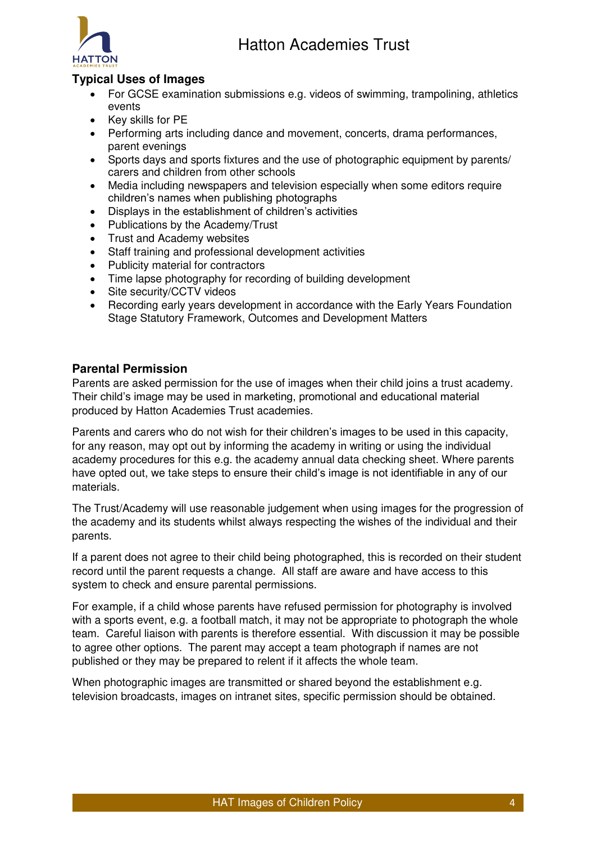

# <span id="page-3-0"></span>**Typical Uses of Images**

- For GCSE examination submissions e.g. videos of swimming, trampolining, athletics events
- Key skills for PE
- Performing arts including dance and movement, concerts, drama performances, parent evenings
- Sports days and sports fixtures and the use of photographic equipment by parents/ carers and children from other schools
- Media including newspapers and television especially when some editors require children's names when publishing photographs
- Displays in the establishment of children's activities
- Publications by the Academy/Trust
- Trust and Academy websites
- Staff training and professional development activities
- Publicity material for contractors
- Time lapse photography for recording of building development
- Site security/CCTV videos
- Recording early years development in accordance with the Early Years Foundation Stage Statutory Framework, Outcomes and Development Matters

## <span id="page-3-1"></span>**Parental Permission**

Parents are asked permission for the use of images when their child joins a trust academy. Their child's image may be used in marketing, promotional and educational material produced by Hatton Academies Trust academies.

Parents and carers who do not wish for their children's images to be used in this capacity, for any reason, may opt out by informing the academy in writing or using the individual academy procedures for this e.g. the academy annual data checking sheet. Where parents have opted out, we take steps to ensure their child's image is not identifiable in any of our materials.

The Trust/Academy will use reasonable judgement when using images for the progression of the academy and its students whilst always respecting the wishes of the individual and their parents.

If a parent does not agree to their child being photographed, this is recorded on their student record until the parent requests a change. All staff are aware and have access to this system to check and ensure parental permissions.

For example, if a child whose parents have refused permission for photography is involved with a sports event, e.g. a football match, it may not be appropriate to photograph the whole team. Careful liaison with parents is therefore essential. With discussion it may be possible to agree other options. The parent may accept a team photograph if names are not published or they may be prepared to relent if it affects the whole team.

When photographic images are transmitted or shared beyond the establishment e.g. television broadcasts, images on intranet sites, specific permission should be obtained.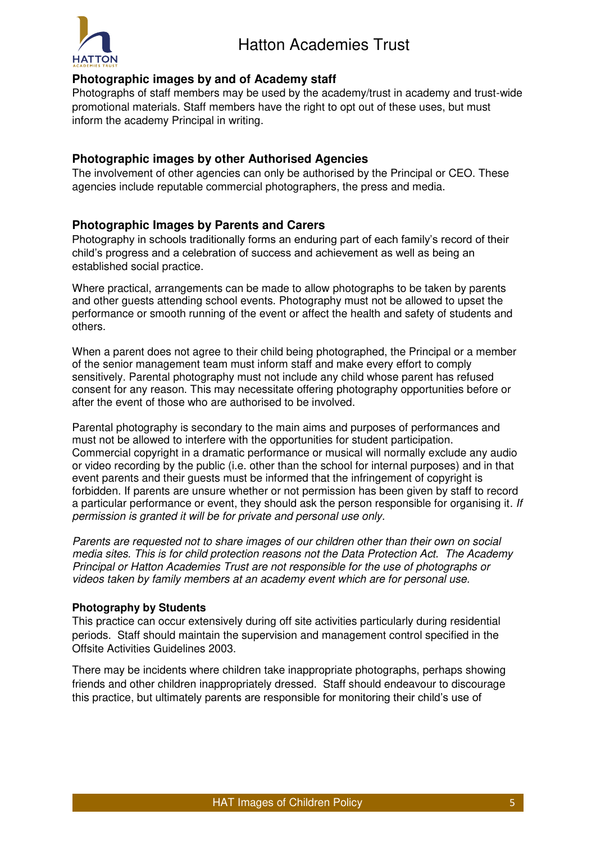

# <span id="page-4-0"></span>**Photographic images by and of Academy staff**

Photographs of staff members may be used by the academy/trust in academy and trust-wide promotional materials. Staff members have the right to opt out of these uses, but must inform the academy Principal in writing.

## <span id="page-4-1"></span>**Photographic images by other Authorised Agencies**

The involvement of other agencies can only be authorised by the Principal or CEO. These agencies include reputable commercial photographers, the press and media.

## <span id="page-4-2"></span>**Photographic Images by Parents and Carers**

Photography in schools traditionally forms an enduring part of each family's record of their child's progress and a celebration of success and achievement as well as being an established social practice.

Where practical, arrangements can be made to allow photographs to be taken by parents and other guests attending school events. Photography must not be allowed to upset the performance or smooth running of the event or affect the health and safety of students and others.

When a parent does not agree to their child being photographed, the Principal or a member of the senior management team must inform staff and make every effort to comply sensitively. Parental photography must not include any child whose parent has refused consent for any reason. This may necessitate offering photography opportunities before or after the event of those who are authorised to be involved.

Parental photography is secondary to the main aims and purposes of performances and must not be allowed to interfere with the opportunities for student participation. Commercial copyright in a dramatic performance or musical will normally exclude any audio or video recording by the public (i.e. other than the school for internal purposes) and in that event parents and their guests must be informed that the infringement of copyright is forbidden. If parents are unsure whether or not permission has been given by staff to record a particular performance or event, they should ask the person responsible for organising it*. If permission is granted it will be for private and personal use only.* 

*Parents are requested not to share images of our children other than their own on social media sites. This is for child protection reasons not the Data Protection Act. The Academy Principal or Hatton Academies Trust are not responsible for the use of photographs or videos taken by family members at an academy event which are for personal use.* 

## **Photography by Students**

This practice can occur extensively during off site activities particularly during residential periods. Staff should maintain the supervision and management control specified in the Offsite Activities Guidelines 2003.

There may be incidents where children take inappropriate photographs, perhaps showing friends and other children inappropriately dressed. Staff should endeavour to discourage this practice, but ultimately parents are responsible for monitoring their child's use of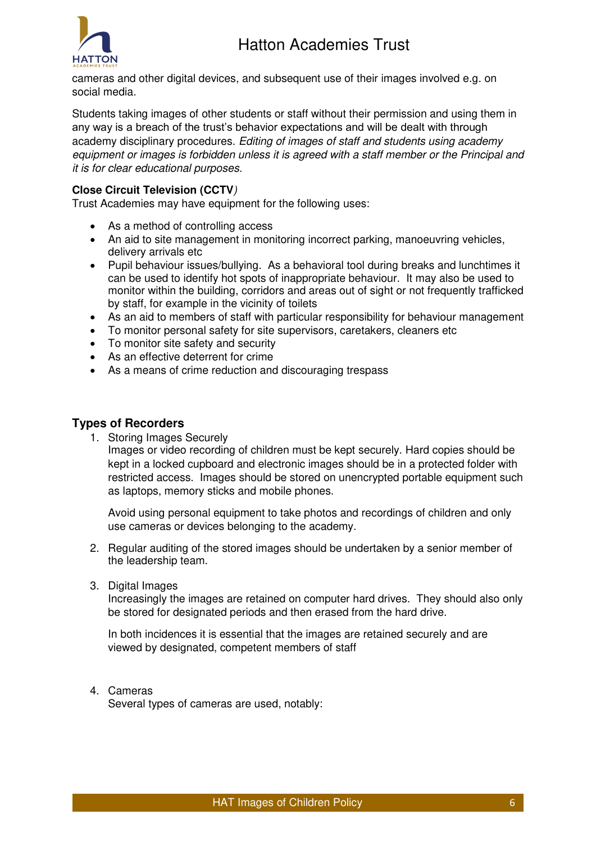

cameras and other digital devices, and subsequent use of their images involved e.g. on social media.

Students taking images of other students or staff without their permission and using them in any way is a breach of the trust's behavior expectations and will be dealt with through academy disciplinary procedures. *Editing of images of staff and students using academy equipment or images is forbidden unless it is agreed with a staff member or the Principal and it is for clear educational purposes.*

## <span id="page-5-0"></span>**Close Circuit Television (CCTV***)*

Trust Academies may have equipment for the following uses:

- As a method of controlling access
- An aid to site management in monitoring incorrect parking, manoeuvring vehicles, delivery arrivals etc
- Pupil behaviour issues/bullying. As a behavioral tool during breaks and lunchtimes it can be used to identify hot spots of inappropriate behaviour. It may also be used to monitor within the building, corridors and areas out of sight or not frequently trafficked by staff, for example in the vicinity of toilets
- As an aid to members of staff with particular responsibility for behaviour management
- To monitor personal safety for site supervisors, caretakers, cleaners etc
- To monitor site safety and security
- As an effective deterrent for crime
- As a means of crime reduction and discouraging trespass

## <span id="page-5-1"></span>**Types of Recorders**

1. Storing Images Securely

Images or video recording of children must be kept securely. Hard copies should be kept in a locked cupboard and electronic images should be in a protected folder with restricted access. Images should be stored on unencrypted portable equipment such as laptops, memory sticks and mobile phones.

Avoid using personal equipment to take photos and recordings of children and only use cameras or devices belonging to the academy.

- 2. Regular auditing of the stored images should be undertaken by a senior member of the leadership team.
- 3. Digital Images

Increasingly the images are retained on computer hard drives. They should also only be stored for designated periods and then erased from the hard drive.

In both incidences it is essential that the images are retained securely and are viewed by designated, competent members of staff

#### 4. Cameras

Several types of cameras are used, notably: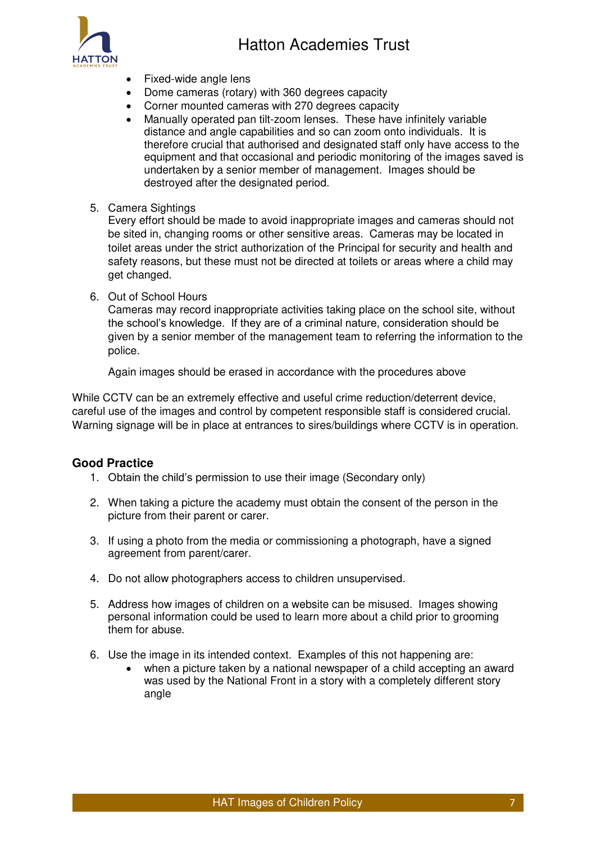

- Fixed-wide angle lens
- Dome cameras (rotary) with 360 degrees capacity
- Corner mounted cameras with 270 degrees capacity
- Manually operated pan tilt-zoom lenses. These have infinitely variable distance and angle capabilities and so can zoom onto individuals. It is therefore crucial that authorised and designated staff only have access to the equipment and that occasional and periodic monitoring of the images saved is undertaken by a senior member of management. Images should be destroyed after the designated period.
- 5. Camera Sightings

Every effort should be made to avoid inappropriate images and cameras should not be sited in, changing rooms or other sensitive areas. Cameras may be located in toilet areas under the strict authorization of the Principal for security and health and safety reasons, but these must not be directed at toilets or areas where a child may get changed.

6. Out of School Hours

Cameras may record inappropriate activities taking place on the school site, without the school's knowledge. If they are of a criminal nature, consideration should be given by a senior member of the management team to referring the information to the police.

Again images should be erased in accordance with the procedures above

While CCTV can be an extremely effective and useful crime reduction/deterrent device, careful use of the images and control by competent responsible staff is considered crucial. Warning signage will be in place at entrances to sires/buildings where CCTV is in operation.

## <span id="page-6-0"></span>**Good Practice**

- 1. Obtain the child's permission to use their image (Secondary only)
- 2. When taking a picture the academy must obtain the consent of the person in the picture from their parent or carer.
- 3. If using a photo from the media or commissioning a photograph, have a signed agreement from parent/carer.
- 4. Do not allow photographers access to children unsupervised.
- 5. Address how images of children on a website can be misused. Images showing personal information could be used to learn more about a child prior to grooming them for abuse.
- 6. Use the image in its intended context. Examples of this not happening are:
	- when a picture taken by a national newspaper of a child accepting an award was used by the National Front in a story with a completely different story angle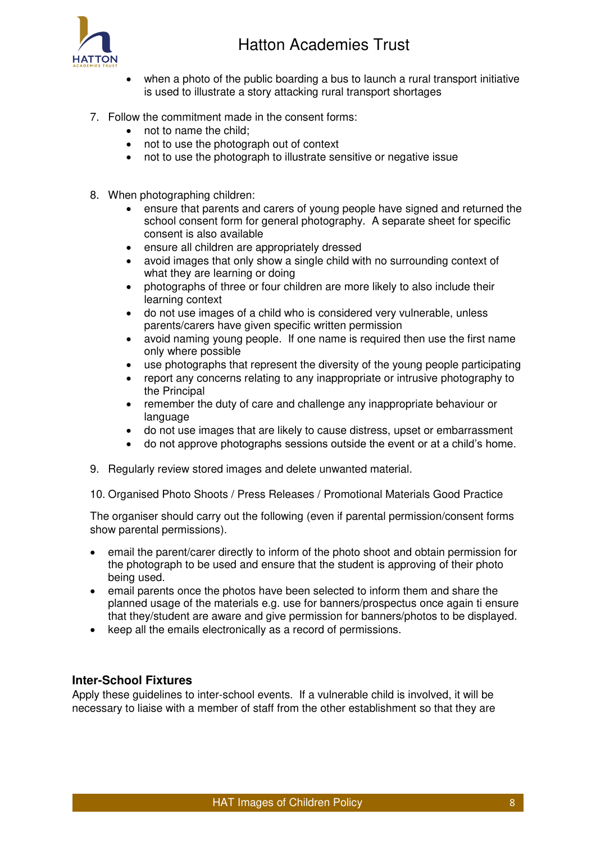

- when a photo of the public boarding a bus to launch a rural transport initiative is used to illustrate a story attacking rural transport shortages
- 7. Follow the commitment made in the consent forms:
	- not to name the child;
	- not to use the photograph out of context
	- not to use the photograph to illustrate sensitive or negative issue
- 8. When photographing children:
	- ensure that parents and carers of young people have signed and returned the school consent form for general photography. A separate sheet for specific consent is also available
	- ensure all children are appropriately dressed
	- avoid images that only show a single child with no surrounding context of what they are learning or doing
	- photographs of three or four children are more likely to also include their learning context
	- do not use images of a child who is considered very vulnerable, unless parents/carers have given specific written permission
	- avoid naming young people. If one name is required then use the first name only where possible
	- use photographs that represent the diversity of the young people participating
	- report any concerns relating to any inappropriate or intrusive photography to the Principal
	- remember the duty of care and challenge any inappropriate behaviour or language
	- do not use images that are likely to cause distress, upset or embarrassment
	- do not approve photographs sessions outside the event or at a child's home.
- 9. Regularly review stored images and delete unwanted material.
- 10. Organised Photo Shoots / Press Releases / Promotional Materials Good Practice

The organiser should carry out the following (even if parental permission/consent forms show parental permissions).

- email the parent/carer directly to inform of the photo shoot and obtain permission for the photograph to be used and ensure that the student is approving of their photo being used.
- email parents once the photos have been selected to inform them and share the planned usage of the materials e.g. use for banners/prospectus once again ti ensure that they/student are aware and give permission for banners/photos to be displayed.
- keep all the emails electronically as a record of permissions.

## <span id="page-7-0"></span>**Inter-School Fixtures**

Apply these guidelines to inter-school events. If a vulnerable child is involved, it will be necessary to liaise with a member of staff from the other establishment so that they are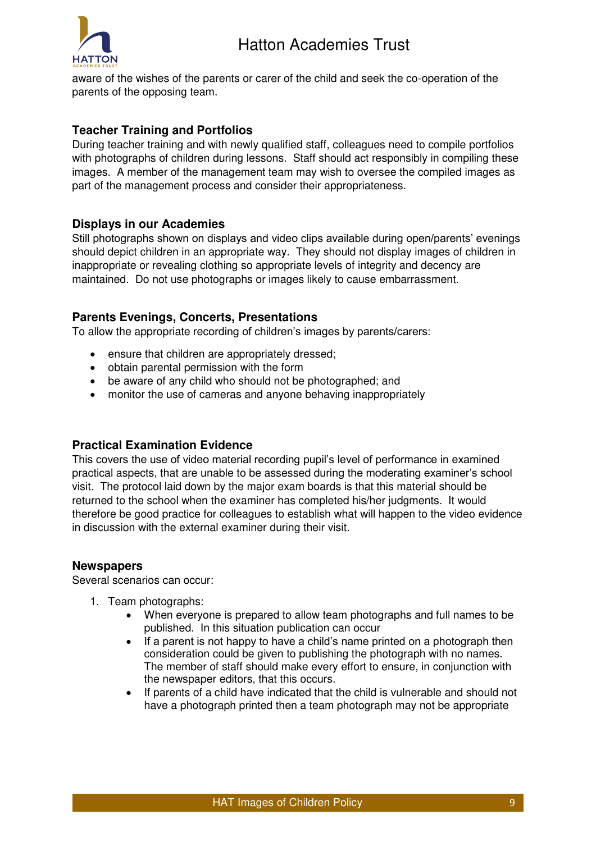

aware of the wishes of the parents or carer of the child and seek the co-operation of the parents of the opposing team.

## <span id="page-8-0"></span>**Teacher Training and Portfolios**

During teacher training and with newly qualified staff, colleagues need to compile portfolios with photographs of children during lessons. Staff should act responsibly in compiling these images. A member of the management team may wish to oversee the compiled images as part of the management process and consider their appropriateness.

## <span id="page-8-1"></span>**Displays in our Academies**

Still photographs shown on displays and video clips available during open/parents' evenings should depict children in an appropriate way. They should not display images of children in inappropriate or revealing clothing so appropriate levels of integrity and decency are maintained. Do not use photographs or images likely to cause embarrassment.

## <span id="page-8-2"></span>**Parents Evenings, Concerts, Presentations**

To allow the appropriate recording of children's images by parents/carers:

- ensure that children are appropriately dressed;
- obtain parental permission with the form
- be aware of any child who should not be photographed; and
- monitor the use of cameras and anyone behaving inappropriately

## <span id="page-8-3"></span>**Practical Examination Evidence**

This covers the use of video material recording pupil's level of performance in examined practical aspects, that are unable to be assessed during the moderating examiner's school visit. The protocol laid down by the major exam boards is that this material should be returned to the school when the examiner has completed his/her judgments. It would therefore be good practice for colleagues to establish what will happen to the video evidence in discussion with the external examiner during their visit.

## <span id="page-8-4"></span>**Newspapers**

Several scenarios can occur:

- 1. Team photographs:
	- When everyone is prepared to allow team photographs and full names to be published. In this situation publication can occur
	- If a parent is not happy to have a child's name printed on a photograph then consideration could be given to publishing the photograph with no names. The member of staff should make every effort to ensure, in conjunction with the newspaper editors, that this occurs.
	- If parents of a child have indicated that the child is vulnerable and should not have a photograph printed then a team photograph may not be appropriate